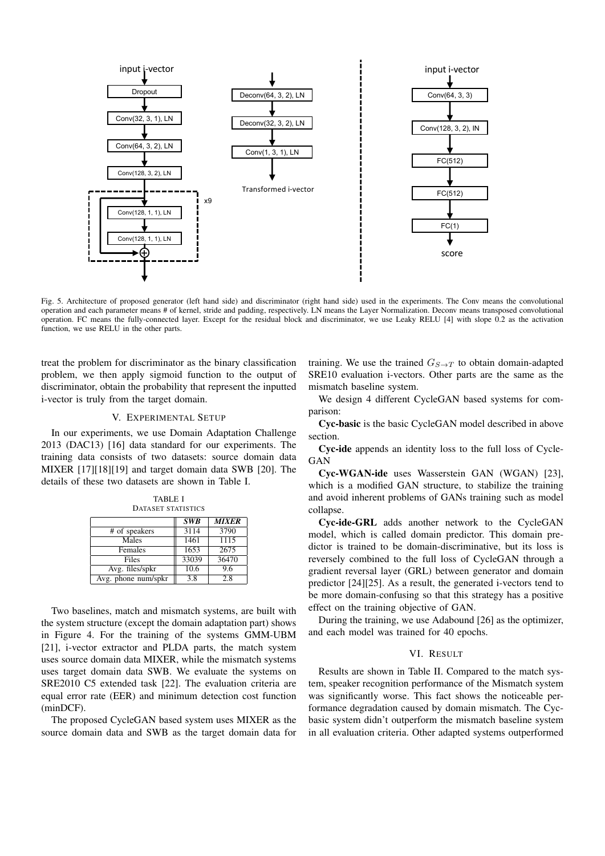

Fig. 5. Architecture of proposed generator (left hand side) and discriminator (right hand side) used in the experiments. The Conv means the convolutional operation and each parameter means # of kernel, stride and padding, respectively. LN means the Layer Normalization. Deconv means transposed convolutional operation. FC means the fully-connected layer. Except for the residual block and discriminator, we use Leaky RELU [4] with slope 0.2 as the activation function, we use RELU in the other parts.

treat the problem for discriminator as the binary classification problem, we then apply sigmoid function to the output of discriminator, obtain the probability that represent the inputted i-vector is truly from the target domain.

## V. EXPERIMENTAL SETUP

In our experiments, we use Domain Adaptation Challenge 2013 (DAC13) [16] data standard for our experiments. The training data consists of two datasets: source domain data MIXER [17][18][19] and target domain data SWB [20]. The details of these two datasets are shown in Table I.

TABLE I DATASET STATISTICS *SWB MIXER* # of speakers Males 1461 1115<br>Females 1653 2675 Females Files 33039 36470 Avg. files/spkr  $|| 10.6 || 9.6$ Avg. phone num/spkr  $\begin{array}{|c|c|c|} \hline 3.8 & 2.8 \end{array}$ 

Two baselines, match and mismatch systems, are built with the system structure (except the domain adaptation part) shows in Figure 4. For the training of the systems GMM-UBM [21], i-vector extractor and PLDA parts, the match system uses source domain data MIXER, while the mismatch systems uses target domain data SWB. We evaluate the systems on SRE2010 C5 extended task [22]. The evaluation criteria are equal error rate (EER) and minimum detection cost function (minDCF).

The proposed CycleGAN based system uses MIXER as the source domain data and SWB as the target domain data for

training. We use the trained  $G_{S\rightarrow T}$  to obtain domain-adapted SRE10 evaluation i-vectors. Other parts are the same as the mismatch baseline system.

We design 4 different CycleGAN based systems for comparison:

Cyc-basic is the basic CycleGAN model described in above section.

Cyc-ide appends an identity loss to the full loss of Cycle-GAN

Cyc-WGAN-ide uses Wasserstein GAN (WGAN) [23], which is a modified GAN structure, to stabilize the training and avoid inherent problems of GANs training such as model collapse.

Cyc-ide-GRL adds another network to the CycleGAN model, which is called domain predictor. This domain predictor is trained to be domain-discriminative, but its loss is reversely combined to the full loss of CycleGAN through a gradient reversal layer (GRL) between generator and domain predictor [24][25]. As a result, the generated i-vectors tend to be more domain-confusing so that this strategy has a positive effect on the training objective of GAN.

During the training, we use Adabound [26] as the optimizer, and each model was trained for 40 epochs.

## VI. RESULT

Results are shown in Table II. Compared to the match system, speaker recognition performance of the Mismatch system was significantly worse. This fact shows the noticeable performance degradation caused by domain mismatch. The Cycbasic system didn't outperform the mismatch baseline system in all evaluation criteria. Other adapted systems outperformed